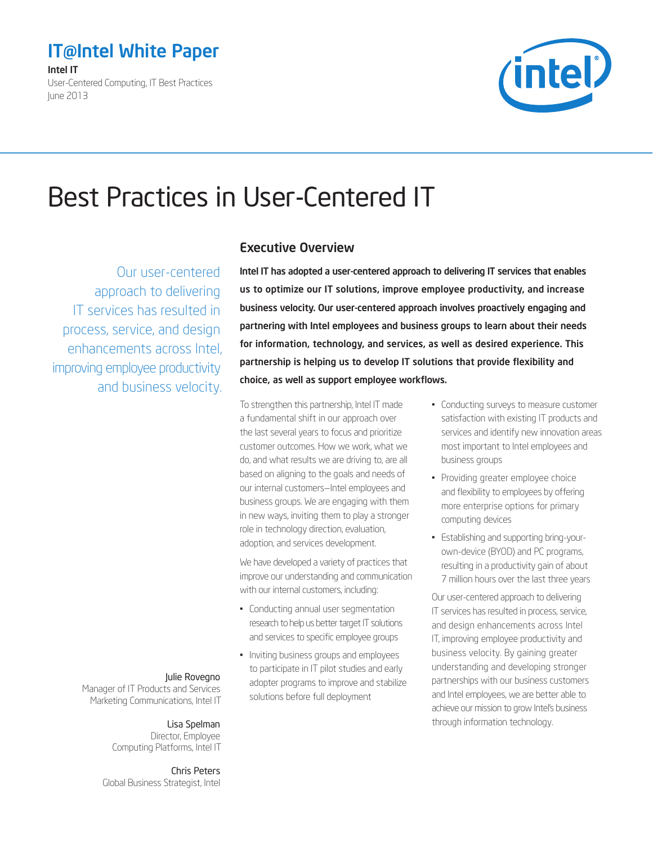# <span id="page-0-0"></span>IT@Intel White Paper

Intel IT

User-Centered Computing, IT Best Practices June 2013



# Best Practices in User-Centered IT

Our user-centered approach to delivering IT services has resulted in process, service, and design enhancements across Intel, improving employee productivity and business velocity.

### Executive Overview

Intel IT has adopted a user-centered approach to delivering IT services that enables us to optimize our IT solutions, improve employee productivity, and increase business velocity. Our user-centered approach involves proactively engaging and partnering with Intel employees and business groups to learn about their needs for information, technology, and services, as well as desired experience. This partnership is helping us to develop IT solutions that provide flexibility and choice, as well as support employee workflows.

To strengthen this partnership, Intel IT made a fundamental shift in our approach over the last several years to focus and prioritize customer outcomes. How we work, what we do, and what results we are driving to, are all based on aligning to the goals and needs of our internal customers—Intel employees and business groups. We are engaging with them in new ways, inviting them to play a stronger role in technology direction, evaluation, adoption, and services development.

We have developed a variety of practices that improve our understanding and communication with our internal customers, including:

- Conducting annual user segmentation research to help us better target IT solutions and services to specific employee groups
- Inviting business groups and employees to participate in IT pilot studies and early adopter programs to improve and stabilize solutions before full deployment
- Conducting surveys to measure customer satisfaction with existing IT products and services and identify new innovation areas most important to Intel employees and business groups
- Providing greater employee choice and flexibility to employees by offering more enterprise options for primary computing devices
- Establishing and supporting bring-yourown-device (BYOD) and PC programs, resulting in a productivity gain of about 7 million hours over the last three years

Our user-centered approach to delivering IT services has resulted in process, service, and design enhancements across Intel IT, improving employee productivity and business velocity. By gaining greater understanding and developing stronger partnerships with our business customers and Intel employees, we are better able to achieve our mission to grow Intel's business through information technology.

#### Julie Rovegno

Manager of IT Products and Services Marketing Communications, Intel IT

### Lisa Spelman

Director, Employee Computing Platforms, Intel IT

Chris Peters Global Business Strategist, Intel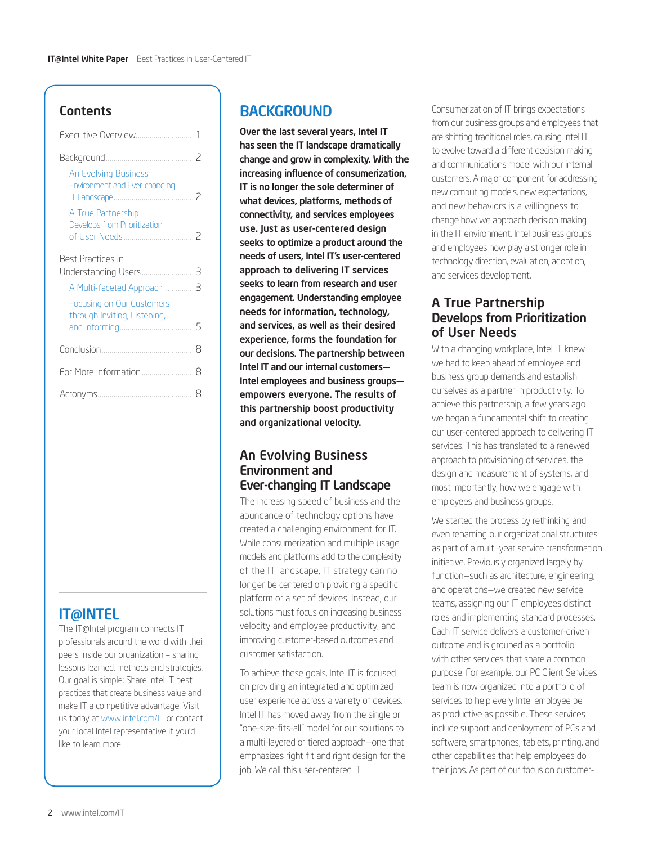### **Contents**

| <b>An Evolving Business</b><br>Environment and Ever-changing |   |
|--------------------------------------------------------------|---|
| A True Partnership<br>Develops from Prioritization           |   |
| Best Practices in                                            |   |
| Understanding Users                                          | З |
| A Multi-faceted Approach  3                                  |   |
| Focusing on Our Customers                                    |   |
| through Inviting, Listening,                                 | 5 |
|                                                              | 8 |
|                                                              |   |
|                                                              |   |

# **IT@INTEL**

The IT@Intel program connects IT professionals around the world with their peers inside our organization – sharing lessons learned, methods and strategies. Our goal is simple: Share Intel IT best practices that create business value and make IT a competitive advantage. Visit us today at [www.intel.com/IT](http://www.intel.com/IT) or contact your local Intel representative if you'd like to learn more.

# **BACKGROUND**

Over the last several years, Intel IT has seen the IT landscape dramatically change and grow in complexity. With the increasing influence of consumerization, IT is no longer the sole determiner of what devices, platforms, methods of connectivity, and services employees use. Just as user-centered design seeks to optimize a product around the needs of users, Intel IT's user-centered approach to delivering IT services seeks to learn from research and user engagement. Understanding employee needs for information, technology, and services, as well as their desired experience, forms the foundation for our decisions. The partnership between Intel IT and our internal customers— Intel employees and business groups empowers everyone. The results of this partnership boost productivity and organizational velocity.

### An Evolving Business Environment and Ever-changing IT Landscape

The increasing speed of business and the abundance of technology options have created a challenging environment for IT. While consumerization and multiple usage models and platforms add to the complexity of the IT landscape, IT strategy can no longer be centered on providing a specific platform or a set of devices. Instead, our solutions must focus on increasing business velocity and employee productivity, and improving customer-based outcomes and customer satisfaction.

To achieve these goals, Intel IT is focused on providing an integrated and optimized user experience across a variety of devices. Intel IT has moved away from the single or "one-size-fits-all" model for our solutions to a multi-layered or tiered approach—one that emphasizes right fit and right design for the job. We call this user-centered IT.

Consumerization of IT brings expectations from our business groups and employees that are shifting traditional roles, causing Intel IT to evolve toward a different decision making and communications model with our internal customers. A major component for addressing new computing models, new expectations, and new behaviors is a willingness to change how we approach decision making in the IT environment. Intel business groups and employees now play a stronger role in technology direction, evaluation, adoption, and services development.

### A True Partnership Develops from Prioritization of User Needs

With a changing workplace, Intel IT knew we had to keep ahead of employee and business group demands and establish ourselves as a partner in productivity. To achieve this partnership, a few years ago we began a fundamental shift to creating our user-centered approach to delivering IT services. This has translated to a renewed approach to provisioning of services, the design and measurement of systems, and most importantly, how we engage with employees and business groups.

We started the process by rethinking and even renaming our organizational structures as part of a multi-year service transformation initiative. Previously organized largely by function—such as architecture, engineering, and operations—we created new service teams, assigning our IT employees distinct roles and implementing standard processes. Each IT service delivers a customer-driven outcome and is grouped as a portfolio with other services that share a common purpose. For example, our PC Client Services team is now organized into a portfolio of services to help every Intel employee be as productive as possible. These services include support and deployment of PCs and software, smartphones, tablets, printing, and other capabilities that help employees do their jobs. As part of our focus on customer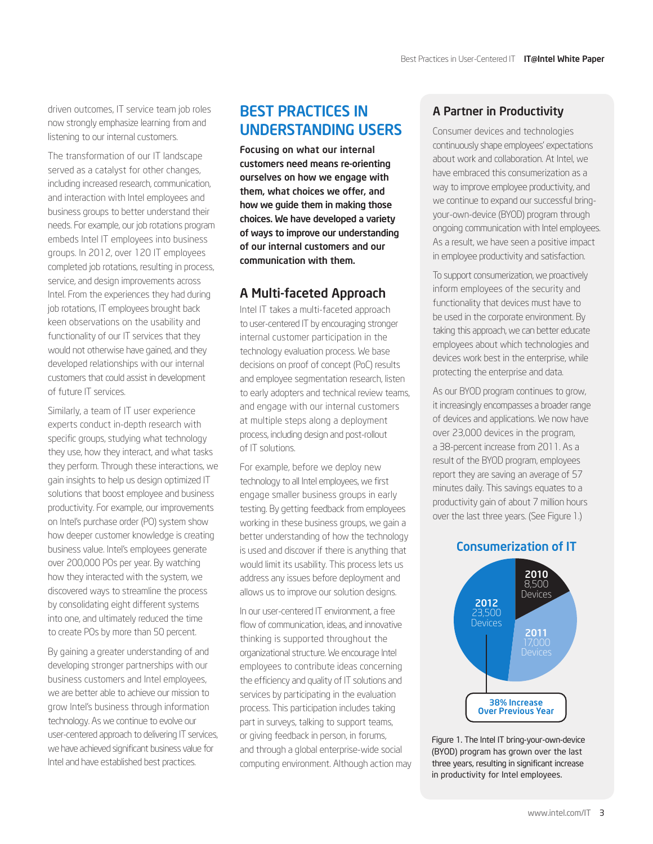<span id="page-2-0"></span>driven outcomes, IT service team job roles now strongly emphasize learning from and listening to our internal customers.

The transformation of our IT landscape served as a catalyst for other changes, including increased research, communication, and interaction with Intel employees and business groups to better understand their needs. For example, our job rotations program embeds Intel IT employees into business groups. In 2012, over 120 IT employees completed job rotations, resulting in process, service, and design improvements across Intel. From the experiences they had during job rotations, IT employees brought back keen observations on the usability and functionality of our IT services that they would not otherwise have gained, and they developed relationships with our internal customers that could assist in development of future IT services.

Similarly, a team of IT user experience experts conduct in-depth research with specific groups, studying what technology they use, how they interact, and what tasks they perform. Through these interactions, we gain insights to help us design optimized IT solutions that boost employee and business productivity. For example, our improvements on Intel's purchase order (PO) system show how deeper customer knowledge is creating business value. Intel's employees generate over 200,000 POs per year. By watching how they interacted with the system, we discovered ways to streamline the process by consolidating eight different systems into one, and ultimately reduced the time to create POs by more than 50 percent.

By gaining a greater understanding of and developing stronger partnerships with our business customers and Intel employees, we are better able to achieve our mission to grow Intel's business through information technology. As we continue to evolve our user-centered approach to delivering IT services, we have achieved significant business value for Intel and have established best practices.

# Best Practices in Understanding Users

Focusing on what our internal customers need means re-orienting ourselves on how we engage with them, what choices we offer, and how we guide them in making those choices. We have developed a variety of ways to improve our understanding of our internal customers and our communication with them.

### A Multi-faceted Approach

Intel IT takes a multi-faceted approach to user-centered IT by encouraging stronger internal customer participation in the technology evaluation process. We base decisions on proof of concept (PoC) results and employee segmentation research, listen to early adopters and technical review teams, and engage with our internal customers at multiple steps along a deployment process, including design and post-rollout of IT solutions.

For example, before we deploy new technology to all Intel employees, we first engage smaller business groups in early testing. By getting feedback from employees working in these business groups, we gain a better understanding of how the technology is used and discover if there is anything that would limit its usability. This process lets us address any issues before deployment and allows us to improve our solution designs.

In our user-centered IT environment, a free flow of communication, ideas, and innovative thinking is supported throughout the organizational structure. We encourage Intel employees to contribute ideas concerning the efficiency and quality of IT solutions and services by participating in the evaluation process. This participation includes taking part in surveys, talking to support teams, or giving feedback in person, in forums, and through a global enterprise-wide social computing environment. Although action may

### A Partner in Productivity

Consumer devices and technologies continuously shape employees' expectations about work and collaboration. At Intel, we have embraced this consumerization as a way to improve employee productivity, and we continue to expand our successful bringyour-own-device (BYOD) program through ongoing communication with Intel employees. As a result, we have seen a positive impact in employee productivity and satisfaction.

To support consumerization, we proactively inform employees of the security and functionality that devices must have to be used in the corporate environment. By taking this approach, we can better educate employees about which technologies and devices work best in the enterprise, while protecting the enterprise and data.

As our BYOD program continues to grow, it increasingly encompasses a broader range of devices and applications. We now have over 23,000 devices in the program, a 38-percent increase from 2011. As a result of the BYOD program, employees report they are saving an average of 57 minutes daily. This savings equates to a productivity gain of about 7 million hours over the last three years. (See Figure 1.)

### Consumerization of IT



Figure 1. The Intel IT bring-your-own-device (BYOD) program has grown over the last three years, resulting in significant increase in productivity for Intel employees.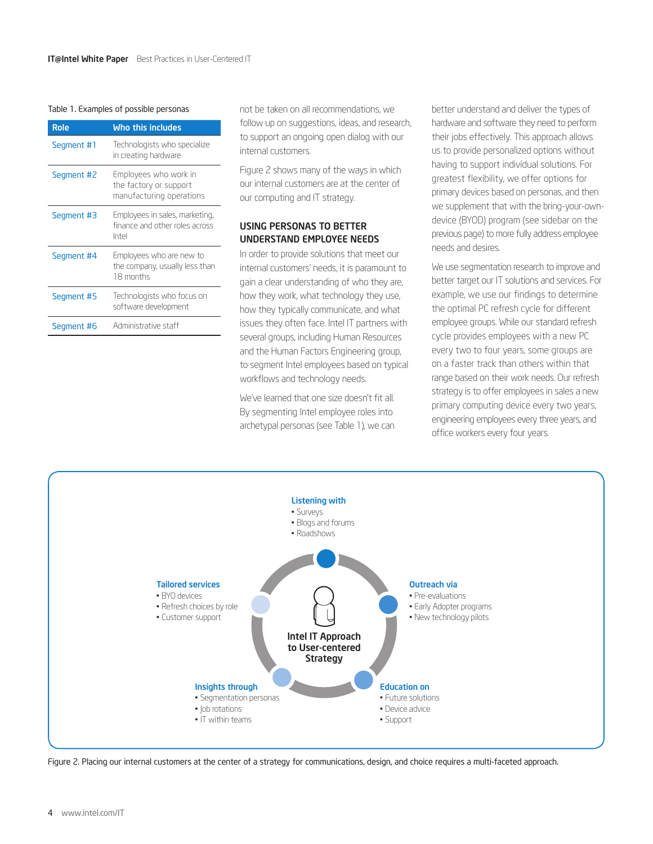#### Table 1. Examples of possible personas

| <b>Role</b> | Who this includes                                                           |
|-------------|-----------------------------------------------------------------------------|
| Segment #1  | Technologists who specialize<br>in creating hardware                        |
| Segment #2  | Employees who work in<br>the factory or support<br>manufacturing operations |
| Segment #3  | Employees in sales, marketing,<br>finance and other roles across<br>Intel   |
| Segment #4  | Employees who are new to<br>the company, usually less than<br>18 months     |
| Segment #5  | Technologists who focus on<br>software development                          |
| Seament #6  | Administrative staff                                                        |

not be taken on all recommendations, we follow up on suggestions, ideas, and research, to support an ongoing open dialog with our internal customers.

Figure 2 shows many of the ways in which our internal customers are at the center of our computing and IT strategy.

#### Using Personas To Better Understand Employee Needs

In order to provide solutions that meet our internal customers' needs, it is paramount to gain a clear understanding of who they are, how they work, what technology they use, how they typically communicate, and what issues they often face. Intel IT partners with several groups, including Human Resources and the Human Factors Engineering group, to segment Intel employees based on typical workflows and technology needs.

We've learned that one size doesn't fit all. By segmenting Intel employee roles into archetypal personas (see Table 1), we can better understand and deliver the types of hardware and software they need to perform their jobs effectively. This approach allows us to provide personalized options without having to support individual solutions. For greatest flexibility, we offer options for primary devices based on personas, and then we supplement that with the bring-your-owndevice (BYOD) program (see sidebar on the previous page) to more fully address employee needs and desires.

We use segmentation research to improve and better target our IT solutions and services. For example, we use our findings to determine the optimal PC refresh cycle for different employee groups. While our standard refresh cycle provides employees with a new PC every two to four years, some groups are on a faster track than others within that range based on their work needs. Our refresh strategy is to offer employees in sales a new primary computing device every two years, engineering employees every three years, and office workers every four years.



Figure 2. Placing our internal customers at the center of a strategy for communications, design, and choice requires a multi-faceted approach.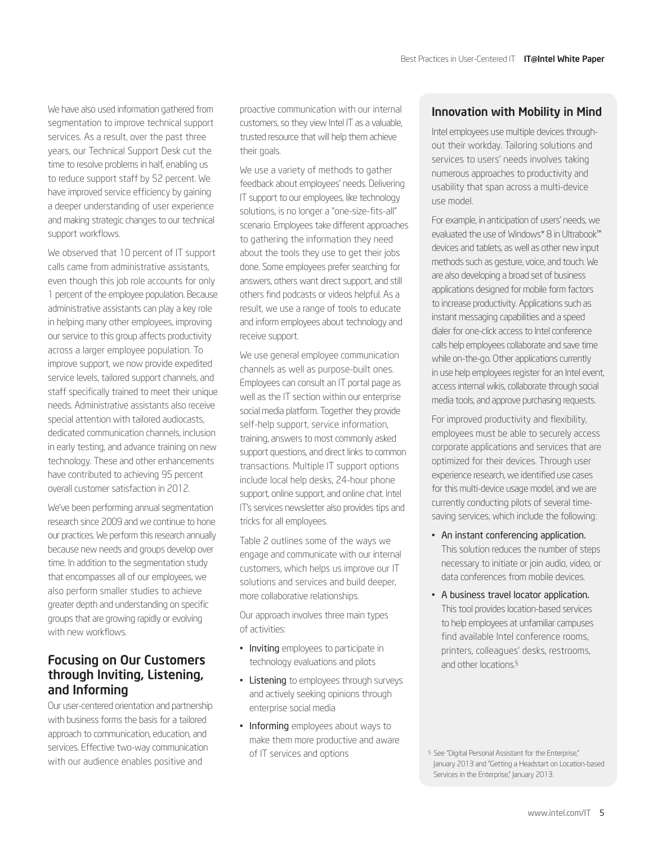<span id="page-4-0"></span>We have also used information gathered from segmentation to improve technical support services. As a result, over the past three years, our Technical Support Desk cut the time to resolve problems in half, enabling us to reduce support staff by 52 percent. We have improved service efficiency by gaining a deeper understanding of user experience and making strategic changes to our technical support workflows.

We observed that 10 percent of IT support calls came from administrative assistants, even though this job role accounts for only 1 percent of the employee population. Because administrative assistants can play a key role in helping many other employees, improving our service to this group affects productivity across a larger employee population. To improve support, we now provide expedited service levels, tailored support channels, and staff specifically trained to meet their unique needs. Administrative assistants also receive special attention with tailored audiocasts, dedicated communication channels, inclusion in early testing, and advance training on new technology. These and other enhancements have contributed to achieving 95 percent overall customer satisfaction in 2012.

We've been performing annual segmentation research since 2009 and we continue to hone our practices. We perform this research annually because new needs and groups develop over time. In addition to the segmentation study that encompasses all of our employees, we also perform smaller studies to achieve greater depth and understanding on specific groups that are growing rapidly or evolving with new workflows.

### Focusing on Our Customers through Inviting, Listening, and Informing

Our user-centered orientation and partnership with business forms the basis for a tailored approach to communication, education, and services. Effective two-way communication with our audience enables positive and

proactive communication with our internal customers, so they view Intel IT as a valuable, trusted resource that will help them achieve their goals.

We use a variety of methods to gather feedback about employees' needs. Delivering IT support to our employees, like technology solutions, is no longer a "one-size-fits-all" scenario. Employees take different approaches to gathering the information they need about the tools they use to get their jobs done. Some employees prefer searching for answers, others want direct support, and still others find podcasts or videos helpful. As a result, we use a range of tools to educate and inform employees about technology and receive support.

We use general employee communication channels as well as purpose-built ones. Employees can consult an IT portal page as well as the IT section within our enterprise social media platform. Together they provide self-help support, service information, training, answers to most commonly asked support questions, and direct links to common transactions. Multiple IT support options include local help desks, 24-hour phone support, online support, and online chat. Intel IT's services newsletter also provides tips and tricks for all employees.

Table 2 outlines some of the ways we engage and communicate with our internal customers, which helps us improve our IT solutions and services and build deeper, more collaborative relationships.

Our approach involves three main types of activities:

- Inviting employees to participate in technology evaluations and pilots
- Listening to employees through surveys and actively seeking opinions through enterprise social media
- Informing employees about ways to make them more productive and aware of IT services and options

### Innovation with Mobility in Mind

Intel employees use multiple devices throughout their workday. Tailoring solutions and services to users' needs involves taking numerous approaches to productivity and usability that span across a multi-device use model.

For example, in anticipation of users' needs, we evaluated the use of Windows\* 8 in Ultrabook™ devices and tablets, as well as other new input methods such as gesture, voice, and touch. We are also developing a broad set of business applications designed for mobile form factors to increase productivity. Applications such as instant messaging capabilities and a speed dialer for one-click access to Intel conference calls help employees collaborate and save time while on-the-go. Other applications currently in use help employees register for an Intel event, access internal wikis, collaborate through social media tools, and approve purchasing requests.

For improved productivity and flexibility, employees must be able to securely access corporate applications and services that are optimized for their devices. Through user experience research, we identified use cases for this multi-device usage model, and we are currently conducting pilots of several timesaving services, which include the following:

- An instant conferencing application. This solution reduces the number of steps necessary to initiate or join audio, video, or data conferences from mobile devices.
- A business travel locator application. This tool provides location-based services to help employees at unfamiliar campuses find available Intel conference rooms, printers, colleagues' desks, restrooms, and other locations.§

§ See "Digital Personal Assistant for the Enterprise," January 2013 and "Getting a Headstart on Location-based Services in the Enterprise," January 2013.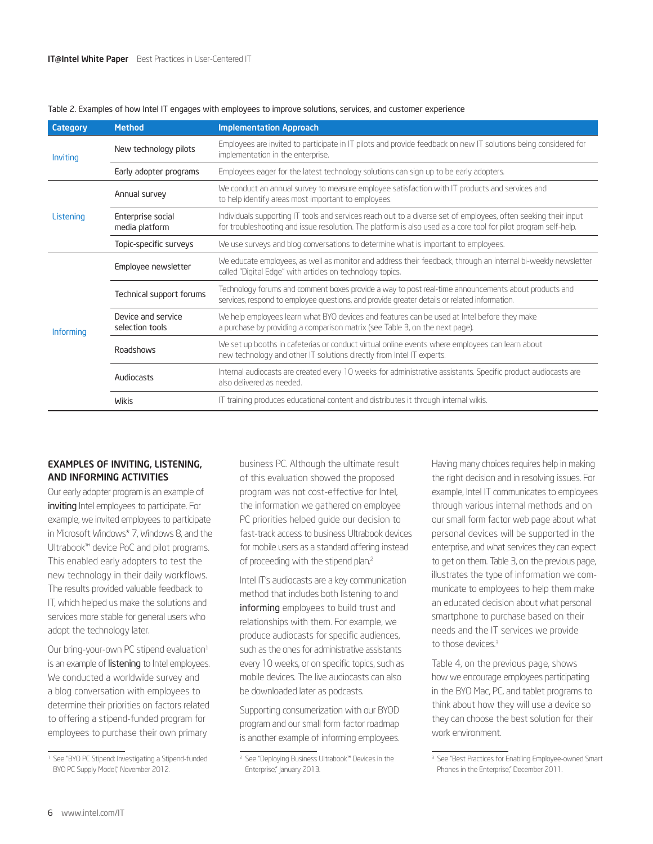| Category  | <b>Method</b>                         | <b>Implementation Approach</b>                                                                                                                                                                                                     |  |
|-----------|---------------------------------------|------------------------------------------------------------------------------------------------------------------------------------------------------------------------------------------------------------------------------------|--|
| Inviting  | New technology pilots                 | Employees are invited to participate in IT pilots and provide feedback on new IT solutions being considered for<br>implementation in the enterprise.                                                                               |  |
|           | Early adopter programs                | Employees eager for the latest technology solutions can sign up to be early adopters.                                                                                                                                              |  |
| Listening | Annual survey                         | We conduct an annual survey to measure employee satisfaction with IT products and services and<br>to help identify areas most important to employees.                                                                              |  |
|           | Enterprise social<br>media platform   | Individuals supporting IT tools and services reach out to a diverse set of employees, often seeking their input<br>for troubleshooting and issue resolution. The platform is also used as a core tool for pilot program self-help. |  |
|           | Topic-specific surveys                | We use surveys and blog conversations to determine what is important to employees.                                                                                                                                                 |  |
| Informing | Employee newsletter                   | We educate employees, as well as monitor and address their feedback, through an internal bi-weekly newsletter<br>called "Digital Edge" with articles on technology topics.                                                         |  |
|           | Technical support forums              | Technology forums and comment boxes provide a way to post real-time announcements about products and<br>services, respond to employee questions, and provide greater details or related information.                               |  |
|           | Device and service<br>selection tools | We help employees learn what BYO devices and features can be used at Intel before they make<br>a purchase by providing a comparison matrix (see Table 3, on the next page).                                                        |  |
|           | <b>Roadshows</b>                      | We set up booths in cafeterias or conduct virtual online events where employees can learn about<br>new technology and other IT solutions directly from Intel IT experts.                                                           |  |
|           | Audiocasts                            | Internal audiocasts are created every 10 weeks for administrative assistants. Specific product audiocasts are<br>also delivered as needed.                                                                                         |  |
|           | <b>Wikis</b>                          | IT training produces educational content and distributes it through internal wikis.                                                                                                                                                |  |

#### Table 2. Examples of how Intel IT engages with employees to improve solutions, services, and customer experience

#### Examples of Inviting, Listening, and Informing Activities

Our early adopter program is an example of inviting Intel employees to participate. For example, we invited employees to participate in Microsoft Windows\* 7, Windows 8, and the Ultrabook™ device PoC and pilot programs. This enabled early adopters to test the new technology in their daily workflows. The results provided valuable feedback to IT, which helped us make the solutions and services more stable for general users who adopt the technology later.

Our bring-your-own PC stipend evaluation<sup>1</sup> is an example of **listening** to Intel employees. We conducted a worldwide survey and a blog conversation with employees to determine their priorities on factors related to offering a stipend-funded program for employees to purchase their own primary

business PC. Although the ultimate result of this evaluation showed the proposed program was not cost-effective for Intel, the information we gathered on employee PC priorities helped guide our decision to fast-track access to business Ultrabook devices for mobile users as a standard offering instead of proceeding with the stipend plan.<sup>2</sup>

Intel IT's audiocasts are a key communication method that includes both listening to and informing employees to build trust and relationships with them. For example, we produce audiocasts for specific audiences, such as the ones for administrative assistants every 10 weeks, or on specific topics, such as mobile devices. The live audiocasts can also be downloaded later as podcasts.

Supporting consumerization with our BYOD program and our small form factor roadmap is another example of informing employees.

Having many choices requires help in making the right decision and in resolving issues. For example, Intel IT communicates to employees through various internal methods and on our small form factor web page about what personal devices will be supported in the enterprise, and what services they can expect to get on them. Table 3, on the previous page, illustrates the type of information we communicate to employees to help them make an educated decision about what personal smartphone to purchase based on their needs and the IT services we provide to those devices.<sup>3</sup>

Table 4, on the previous page, shows how we encourage employees participating in the BYO Mac, PC, and tablet programs to think about how they will use a device so they can choose the best solution for their work environment.

<sup>1</sup> See "BYO PC Stipend: Investigating a Stipend-funded BYO PC Supply Model," November 2012.

<sup>2</sup> See "Deploying Business Ultrabook™ Devices in the Enterprise," January 2013.

<sup>&</sup>lt;sup>3</sup> See "Best Practices for Enabling Employee-owned Smart Phones in the Enterprise," December 2011.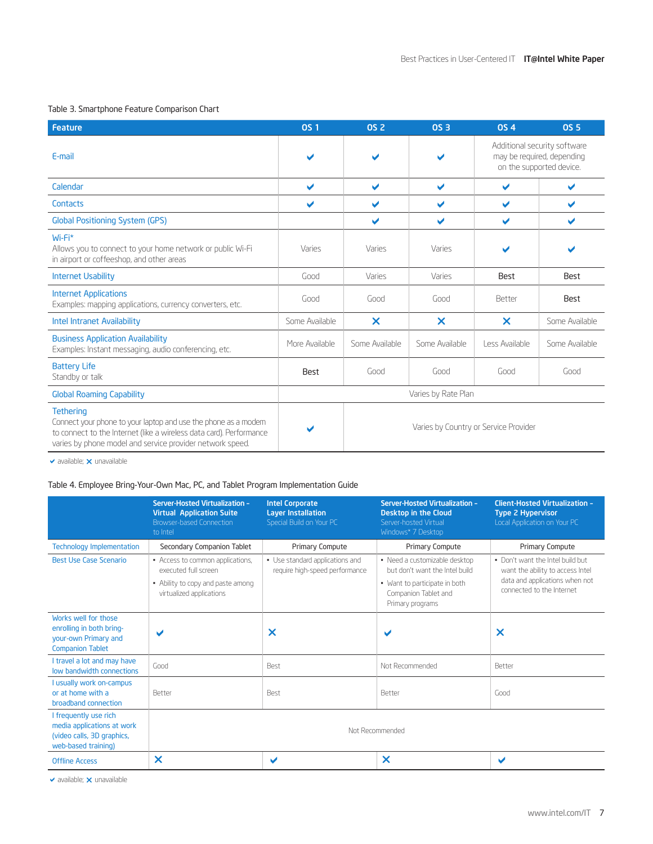#### Table 3. Smartphone Feature Comparison Chart

| <b>Feature</b>                                                                                                                                                                                                         | <b>OS 1</b>             | <b>OS 2</b>             | <b>OS 3</b>                           | <b>0S4</b>                 | <b>OS 5</b>                                              |
|------------------------------------------------------------------------------------------------------------------------------------------------------------------------------------------------------------------------|-------------------------|-------------------------|---------------------------------------|----------------------------|----------------------------------------------------------|
| E-mail                                                                                                                                                                                                                 | $\blacktriangleright$   |                         | $\blacktriangleright$                 | may be required, depending | Additional security software<br>on the supported device. |
| Calendar                                                                                                                                                                                                               | $\overline{\mathbf{v}}$ | $\overline{\mathbf{v}}$ | $\blacktriangleright$                 | $\checkmark$               | ✔                                                        |
| Contacts                                                                                                                                                                                                               | ✔                       | $\blacktriangleright$   | ✔                                     | $\blacktriangleright$      | $\checkmark$                                             |
| <b>Global Positioning System (GPS)</b>                                                                                                                                                                                 |                         | $\blacktriangleright$   | ✔                                     | ✔                          | ✔                                                        |
| Wi-Fi*<br>Allows you to connect to your home network or public Wi-Fi<br>in airport or coffeeshop, and other areas                                                                                                      | Varies                  | Varies                  | Varies                                |                            |                                                          |
| <b>Internet Usability</b>                                                                                                                                                                                              | Good                    | Varies                  | Varies                                | Best                       | Best                                                     |
| <b>Internet Applications</b><br>Examples: mapping applications, currency converters, etc.                                                                                                                              | Good                    | Good                    | Good                                  | Better                     | Best                                                     |
| <b>Intel Intranet Availability</b>                                                                                                                                                                                     | Some Available          | $\boldsymbol{\times}$   | ×                                     | $\boldsymbol{\times}$      | Some Available                                           |
| <b>Business Application Availability</b><br>Examples: Instant messaging, audio conferencing, etc.                                                                                                                      | More Available          | Some Available          | Some Available                        | Less Available             | Some Available                                           |
| <b>Battery Life</b><br>Standby or talk                                                                                                                                                                                 | Best                    | Good                    | Good                                  | Good                       | Good                                                     |
| <b>Global Roaming Capability</b>                                                                                                                                                                                       |                         |                         | Varies by Rate Plan                   |                            |                                                          |
| <b>Tethering</b><br>Connect your phone to your laptop and use the phone as a modem<br>to connect to the Internet (like a wireless data card). Performance<br>varies by phone model and service provider network speed. |                         |                         | Varies by Country or Service Provider |                            |                                                          |

 $\vee$  available;  $\times$  unavailable

#### Table 4. Employee Bring-Your-Own Mac, PC, and Tablet Program Implementation Guide

|                                                                                                          | <b>Server-Hosted Virtualization -</b><br><b>Virtual Application Suite</b><br><b>Browser-based Connection</b><br>to Intel | <b>Intel Corporate</b><br><b>Layer Installation</b><br>Special Build on Your PC | <b>Server-Hosted Virtualization -</b><br>Desktop in the Cloud<br>Server-hosted Virtual<br>Windows* 7 Desktop | <b>Client-Hosted Virtualization -</b><br><b>Type 2 Hypervisor</b><br>Local Application on Your PC                                   |  |
|----------------------------------------------------------------------------------------------------------|--------------------------------------------------------------------------------------------------------------------------|---------------------------------------------------------------------------------|--------------------------------------------------------------------------------------------------------------|-------------------------------------------------------------------------------------------------------------------------------------|--|
| <b>Technology Implementation</b>                                                                         | Secondary Companion Tablet                                                                                               | Primary Compute                                                                 | Primary Compute                                                                                              | Primary Compute                                                                                                                     |  |
| <b>Best Use Case Scenario</b>                                                                            | • Access to common applications,<br>executed full screen                                                                 | • Use standard applications and<br>require high-speed performance               | • Need a customizable desktop<br>but don't want the Intel build                                              | . Don't want the Intel build but<br>want the ability to access Intel<br>data and applications when not<br>connected to the Internet |  |
|                                                                                                          | • Ability to copy and paste among<br>virtualized applications                                                            |                                                                                 | • Want to participate in both<br>Companion Tablet and<br>Primary programs                                    |                                                                                                                                     |  |
| Works well for those<br>enrolling in both bring-<br>your-own Primary and<br><b>Companion Tablet</b>      |                                                                                                                          | ×                                                                               |                                                                                                              | X                                                                                                                                   |  |
| I travel a lot and may have<br>low bandwidth connections                                                 | Good                                                                                                                     | <b>Best</b>                                                                     | Not Recommended                                                                                              | Better                                                                                                                              |  |
| I usually work on-campus<br>or at home with a<br>broadband connection                                    | <b>Better</b>                                                                                                            | <b>Best</b>                                                                     | Better                                                                                                       | Good                                                                                                                                |  |
| I frequently use rich<br>media applications at work<br>(video calls, 3D graphics,<br>web-based training) |                                                                                                                          | Not Recommended                                                                 |                                                                                                              |                                                                                                                                     |  |
| <b>Offline Access</b>                                                                                    | $\boldsymbol{\mathsf{x}}$                                                                                                | ✔                                                                               | ×                                                                                                            | ✔                                                                                                                                   |  |

 $\checkmark$  available;  $\checkmark$  unavailable